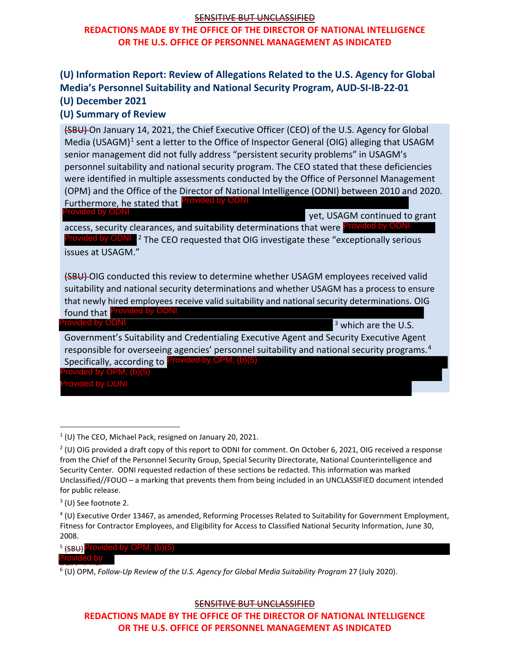## SENSITIVE BUT UNCLASSIFIED

# **REDACTIONS MADE BY THE OFFICE OF THE DIRECTOR OF NATIONAL INTELLIGENCE OR THE U.S. OFFICE OF PERSONNEL MANAGEMENT AS INDICATED**

# **(U) Information Report: Review of Allegations Related to the U.S. Agency for Global Media's Personnel Suitability and National Security Program, AUD-SI-IB-22-01 (U) December 2021**

## **(U) Summary of Review**

(SBU) On January 14, 2021, the Chief Executive Officer (CEO) of the U.S. Agency for Global Media (USAGM)<sup>[1](#page-0-0)</sup> sent a letter to the Office of Inspector General (OIG) alleging that USAGM senior management did not fully address "persistent security problems" in USAGM's personnel suitability and national security program. The CEO stated that these deficiencies were identified in multiple assessments conducted by the Office of Personnel Management (OPM) and the Office of the Director of National Intelligence (ODNI) between 2010 and 2020. Furthermore, he stated that Provided by ODNI

Provided by ODNI

yet, USAGM continued to grant

access, security clearances, and suitability determinations that were Provided by ODNI Provided by ODNI<sup>[2](#page-0-1)</sup> The CEO requested that OIG investigate these "exceptionally serious issues at USAGM."

(SBU) OIG conducted this review to determine whether USAGM employees received valid suitability and national security determinations and whether USAGM has a process to ensure that newly hired employees receive valid suitability and national security determinations. OIG found that Provided by ODNI

Provided by OD

<sup>3</sup> which are the U.S.

Government's Suitability and Credentialing Executive Agent and Security Executive Agent responsible for overseeing agencies' personnel suitability and national security programs.<sup>[4](#page-0-2)</sup> Specifically, according to <sup>Provided by OPM; (b)(5)</sup><br>Provided by OPM; (b)(5)<br>Provided by ODNI

<sup>5</sup> (SBU) <sup>Provided by OPM; (b)(5)</sup>

Provided by

SENSITIVE BUT UNCLASSIFIED

**REDACTIONS MADE BY THE OFFICE OF THE DIRECTOR OF NATIONAL INTELLIGENCE OR THE U.S. OFFICE OF PERSONNEL MANAGEMENT AS INDICATED** 

<span id="page-0-0"></span> $1$  (U) The CEO, Michael Pack, resigned on January 20, 2021.

<span id="page-0-1"></span> $2$  (U) OIG provided a draft copy of this report to ODNI for comment. On October 6, 2021, OIG received a response from the Chief of the Personnel Security Group, Special Security Directorate, National Counterintelligence and Security Center. ODNI requested redaction of these sections be redacted. This information was marked Unclassified//FOUO – a marking that prevents them from being included in an UNCLASSIFIED document intended for public release.

 $3$  (U) See footnote 2.

<span id="page-0-2"></span><sup>4</sup> (U) Executive Order 13467, as amended, Reforming Processes Related to Suitability for Government Employment, Fitness for Contractor Employees, and Eligibility for Access to Classified National Security Information, June 30, 2008.

<sup>6 (</sup>U) OPM, Follow-Up Review of the U.S. Agency for Global Media Suitability Program 27 (July 2020).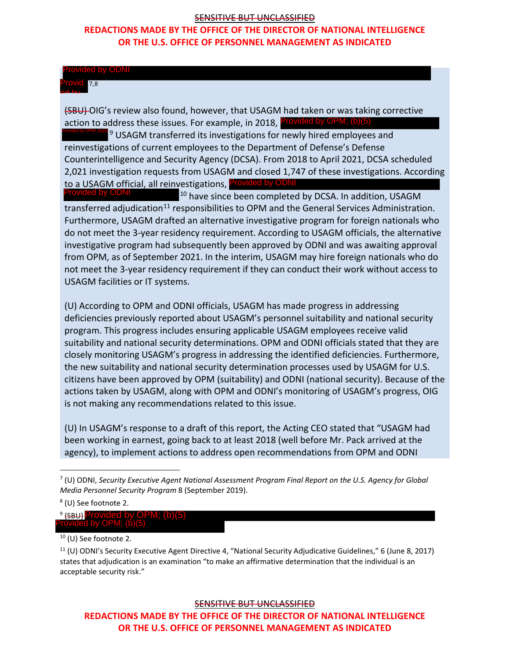### SENSITIVE BUT UNCLASSIFIED

## **REDACTIONS MADE BY THE OFFICE OF THE DIRECTOR OF NATIONAL INTELLIGENCE OR THE U.S. OFFICE OF PERSONNEL MANAGEMENT AS INDICATED**

#### Provided by ODNI

7,8 Provid ed by

(SBU)-OIG's review also found, however, that USAGM had taken or was taking corrective action to a[dd](#page-1-0)ress these issues. For example, in 2018, Provided by OPM; (b)(5)<br>**Additional openition** [9](#page-1-0) USAGM transferred its investigations for newly hired employees and ODNI

reinvestigations of current employees to the Department of Defense's Defense Counterintelligence and Security Agency (DCSA). From 2018 to April 2021, DCSA scheduled 2,021 investigation requests from USAGM and closed 1,747 of these investigations. According to a USAGM official, all reinvestigations, Provided by ODNI **Provided by OPM; (b)(5)**<br>**Provided by OPM; (b)(5)**<br>**Provided by OPM; (b)(5)**<br>**Provided by OPM; (b)(5)**<br>**Provided by ODNI** Provided and Security Agency (DCSA). From 2018 to April 2021, D<br>**2,021** investigation requests fro

[10](#page-1-1) have since been completed by DCSA. In addition, USAGM transferred adjudication<sup>[11](#page-1-2)</sup> responsibilities to OPM and the General Services Administration. Furthermore, USAGM drafted an alternative investigative program for foreign nationals who do not meet the 3-year residency requirement. According to USAGM officials, the alternative investigative program had subsequently been approved by ODNI and was awaiting approval from OPM, as of September 2021. In the interim, USAGM may hire foreign nationals who do not meet the 3-year residency requirement if they can conduct their work without access to USAGM facilities or IT systems.

(U) According to OPM and ODNI officials, USAGM has made progress in addressing deficiencies previously reported about USAGM's personnel suitability and national security program. This progress includes ensuring applicable USAGM employees receive valid suitability and national security determinations. OPM and ODNI officials stated that they are closely monitoring USAGM's progress in addressing the identified deficiencies. Furthermore, the new suitability and national security determination processes used by USAGM for U.S. citizens have been approved by OPM (suitability) and ODNI (national security). Because of the actions taken by USAGM, along with OPM and ODNI's monitoring of USAGM's progress, OIG is not making any recommendations related to this issue.

(U) In USAGM's response to a draft of this report, the Acting CEO stated that "USAGM had been working in earnest, going back to at least 2018 (well before Mr. Pack arrived at the agency), to implement actions to address open recommendations from OPM and ODNI

#### SENSITIVE BUT UNCLASSIFIED

**REDACTIONS MADE BY THE OFFICE OF THE DIRECTOR OF NATIONAL INTELLIGENCE OR THE U.S. OFFICE OF PERSONNEL MANAGEMENT AS INDICATED** 

<sup>7</sup> (U) ODNI, *Security Executive Agent National Assessment Program Final Report on the U.S. Agency for Global Media Personnel Security Program* 8 (September 2019).

<sup>8</sup> (U) See footnote 2.

<span id="page-1-0"></span><sup>&</sup>lt;sup>9</sup> <del>(SBU)</del> Provided by OPM; (b)(5)<br>Provided by OPM; (b)(5)

<span id="page-1-1"></span> $10$  (U) See footnote 2.

<span id="page-1-2"></span><sup>11</sup> (U) ODNI's Security Executive Agent Directive 4, "National Security Adjudicative Guidelines," 6 (June 8, 2017) states that adjudication is an examination "to make an affirmative determination that the individual is an acceptable security risk."